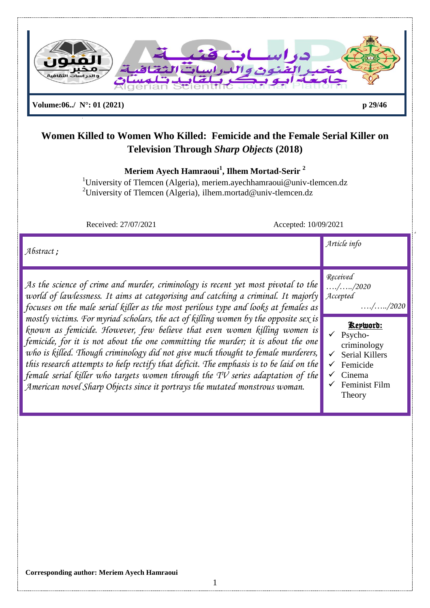

**Meriem Ayech Hamraoui<sup>1</sup> , Ilhem Mortad-Serir <sup>2</sup>**

<sup>1</sup>University of Tlemcen (Algeria), meriem.ayechhamraoui@univ-tlemcen.dz <sup>2</sup>University of Tlemcen (Algeria), ilhem.mortad@univ-tlemcen.dz

Received: 27/07/2021 Accepted: 10/09/2021

| $\mathcal{A}$ <i>bstract</i> ;                                                                                                                                                                                                                                                                                                                                                                                                                                                                                                                                                                                                                                                                      | Article info                                                                                                                                                                                   |
|-----------------------------------------------------------------------------------------------------------------------------------------------------------------------------------------------------------------------------------------------------------------------------------------------------------------------------------------------------------------------------------------------------------------------------------------------------------------------------------------------------------------------------------------------------------------------------------------------------------------------------------------------------------------------------------------------------|------------------------------------------------------------------------------------------------------------------------------------------------------------------------------------------------|
| As the science of crime and murder, criminology is recent yet most pivotal to the<br>world of lawlessness. It aims at categorising and catching a criminal. It majorly<br>focuses on the male serial killer as the most perilous type and looks at females as<br>mostly victims. For myriad scholars, the act of killing women by the opposite sex is<br>known as femicide. However, few believe that even women killing women is<br>femicide, for it is not about the one committing the murder; it is about the one<br>who is killed. Though criminology did not give much thought to female murderers,<br>this research attempts to help rectify that deficit. The emphasis is to be laid on the | Received<br>$\ldots$ / $\ldots$ /2020<br>Accepted<br>$\ldots$ / $\ldots$ /2020<br>Kepword:<br>Psycho-<br>$\checkmark$<br>criminology<br><b>Serial Killers</b><br>✓<br>Femicide<br>$\checkmark$ |
| female serial killer who targets women through the TV series adaptation of the<br>American novel Sharp Objects since it portrays the mutated monstrous woman.                                                                                                                                                                                                                                                                                                                                                                                                                                                                                                                                       | Cinema<br>Feminist Film<br>Theory                                                                                                                                                              |

1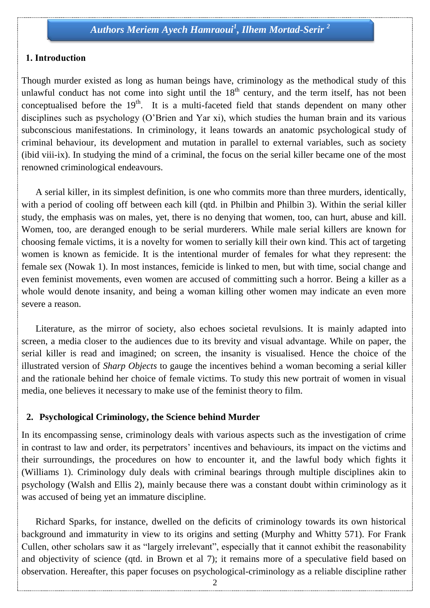#### **1. Introduction**

Though murder existed as long as human beings have, criminology as the methodical study of this unlawful conduct has not come into sight until the  $18<sup>th</sup>$  century, and the term itself, has not been conceptualised before the  $19<sup>th</sup>$ . It is a multi-faceted field that stands dependent on many other disciplines such as psychology (O"Brien and Yar xi), which studies the human brain and its various subconscious manifestations. In criminology, it leans towards an anatomic psychological study of criminal behaviour, its development and mutation in parallel to external variables, such as society (ibid viii-ix). In studying the mind of a criminal, the focus on the serial killer became one of the most renowned criminological endeavours.

 A serial killer, in its simplest definition, is one who commits more than three murders, identically, with a period of cooling off between each kill (qtd. in Philbin and Philbin 3). Within the serial killer study, the emphasis was on males, yet, there is no denying that women, too, can hurt, abuse and kill. Women, too, are deranged enough to be serial murderers. While male serial killers are known for choosing female victims, it is a novelty for women to serially kill their own kind. This act of targeting women is known as femicide. It is the intentional murder of females for what they represent: the female sex (Nowak 1). In most instances, femicide is linked to men, but with time, social change and even feminist movements, even women are accused of committing such a horror. Being a killer as a whole would denote insanity, and being a woman killing other women may indicate an even more severe a reason.

 Literature, as the mirror of society, also echoes societal revulsions. It is mainly adapted into screen, a media closer to the audiences due to its brevity and visual advantage. While on paper, the serial killer is read and imagined; on screen, the insanity is visualised. Hence the choice of the illustrated version of *Sharp Objects* to gauge the incentives behind a woman becoming a serial killer and the rationale behind her choice of female victims. To study this new portrait of women in visual media, one believes it necessary to make use of the feminist theory to film.

#### **2. Psychological Criminology, the Science behind Murder**

In its encompassing sense, criminology deals with various aspects such as the investigation of crime in contrast to law and order, its perpetrators" incentives and behaviours, its impact on the victims and their surroundings, the procedures on how to encounter it, and the lawful body which fights it (Williams 1). Criminology duly deals with criminal bearings through multiple disciplines akin to psychology (Walsh and Ellis 2), mainly because there was a constant doubt within criminology as it was accused of being yet an immature discipline.

 Richard Sparks, for instance, dwelled on the deficits of criminology towards its own historical background and immaturity in view to its origins and setting (Murphy and Whitty 571). For Frank Cullen, other scholars saw it as "largely irrelevant", especially that it cannot exhibit the reasonability and objectivity of science (qtd. in Brown et al 7); it remains more of a speculative field based on observation. Hereafter, this paper focuses on psychological-criminology as a reliable discipline rather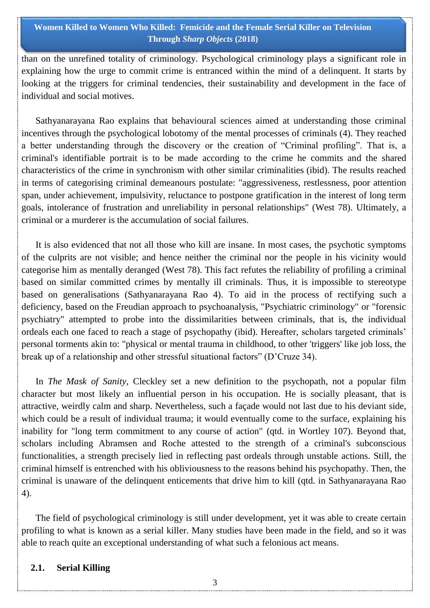than on the unrefined totality of criminology. Psychological criminology plays a significant role in explaining how the urge to commit crime is entranced within the mind of a delinquent. It starts by looking at the triggers for criminal tendencies, their sustainability and development in the face of individual and social motives.

 Sathyanarayana Rao explains that behavioural sciences aimed at understanding those criminal incentives through the psychological lobotomy of the mental processes of criminals (4). They reached a better understanding through the discovery or the creation of "Criminal profiling". That is, a criminal's identifiable portrait is to be made according to the crime he commits and the shared characteristics of the crime in synchronism with other similar criminalities (ibid). The results reached in terms of categorising criminal demeanours postulate: "aggressiveness, restlessness, poor attention span, under achievement, impulsivity, reluctance to postpone gratification in the interest of long term goals, intolerance of frustration and unreliability in personal relationships" (West 78). Ultimately, a criminal or a murderer is the accumulation of social failures.

 It is also evidenced that not all those who kill are insane. In most cases, the psychotic symptoms of the culprits are not visible; and hence neither the criminal nor the people in his vicinity would categorise him as mentally deranged (West 78). This fact refutes the reliability of profiling a criminal based on similar committed crimes by mentally ill criminals. Thus, it is impossible to stereotype based on generalisations (Sathyanarayana Rao 4). To aid in the process of rectifying such a deficiency, based on the Freudian approach to psychoanalysis, "Psychiatric criminology" or "forensic psychiatry" attempted to probe into the dissimilarities between criminals, that is, the individual ordeals each one faced to reach a stage of psychopathy (ibid). Hereafter, scholars targeted criminals" personal torments akin to: "physical or mental trauma in childhood, to other 'triggers' like job loss, the break up of a relationship and other stressful situational factors" (D"Cruze 34).

 In *The Mask of Sanity*, Cleckley set a new definition to the psychopath, not a popular film character but most likely an influential person in his occupation. He is socially pleasant, that is attractive, weirdly calm and sharp. Nevertheless, such a façade would not last due to his deviant side, which could be a result of individual trauma; it would eventually come to the surface, explaining his inability for "long term commitment to any course of action" (qtd. in Wortley 107). Beyond that, scholars including Abramsen and Roche attested to the strength of a criminal's subconscious functionalities, a strength precisely lied in reflecting past ordeals through unstable actions. Still, the criminal himself is entrenched with his obliviousness to the reasons behind his psychopathy. Then, the criminal is unaware of the delinquent enticements that drive him to kill (qtd. in Sathyanarayana Rao 4).

 The field of psychological criminology is still under development, yet it was able to create certain profiling to what is known as a serial killer. Many studies have been made in the field, and so it was able to reach quite an exceptional understanding of what such a felonious act means.

### **2.1. Serial Killing**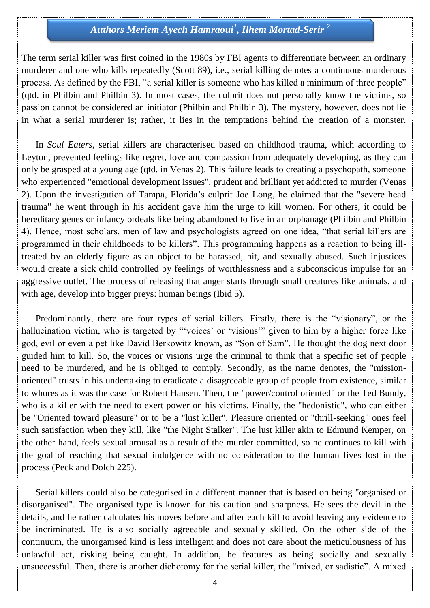The term serial killer was first coined in the 1980s by FBI agents to differentiate between an ordinary murderer and one who kills repeatedly (Scott 89), i.e., serial killing denotes a continuous murderous process. As defined by the FBI, "a serial killer is someone who has killed a minimum of three people" (qtd. in Philbin and Philbin 3). In most cases, the culprit does not personally know the victims, so passion cannot be considered an initiator (Philbin and Philbin 3). The mystery, however, does not lie in what a serial murderer is; rather, it lies in the temptations behind the creation of a monster.

 In *Soul Eaters*, serial killers are characterised based on childhood trauma, which according to Leyton, prevented feelings like regret, love and compassion from adequately developing, as they can only be grasped at a young age (qtd. in Venas 2). This failure leads to creating a psychopath, someone who experienced "emotional development issues", prudent and brilliant yet addicted to murder (Venas 2). Upon the investigation of Tampa, Florida"s culprit Joe Long, he claimed that the "severe head trauma" he went through in his accident gave him the urge to kill women. For others, it could be hereditary genes or infancy ordeals like being abandoned to live in an orphanage (Philbin and Philbin 4). Hence, most scholars, men of law and psychologists agreed on one idea, "that serial killers are programmed in their childhoods to be killers". This programming happens as a reaction to being illtreated by an elderly figure as an object to be harassed, hit, and sexually abused. Such injustices would create a sick child controlled by feelings of worthlessness and a subconscious impulse for an aggressive outlet. The process of releasing that anger starts through small creatures like animals, and with age, develop into bigger preys: human beings (Ibid 5).

 Predominantly, there are four types of serial killers. Firstly, there is the "visionary", or the hallucination victim, who is targeted by "voices' or 'visions" given to him by a higher force like god, evil or even a pet like David Berkowitz known, as "Son of Sam". He thought the dog next door guided him to kill. So, the voices or visions urge the criminal to think that a specific set of people need to be murdered, and he is obliged to comply. Secondly, as the name denotes, the "missionoriented" trusts in his undertaking to eradicate a disagreeable group of people from existence, similar to whores as it was the case for Robert Hansen. Then, the "power/control oriented" or the Ted Bundy, who is a killer with the need to exert power on his victims. Finally, the "hedonistic", who can either be "Oriented toward pleasure" or to be a "lust killer". Pleasure oriented or "thrill-seeking" ones feel such satisfaction when they kill, like "the Night Stalker". The lust killer akin to Edmund Kemper, on the other hand, feels sexual arousal as a result of the murder committed, so he continues to kill with the goal of reaching that sexual indulgence with no consideration to the human lives lost in the process (Peck and Dolch 225).

 Serial killers could also be categorised in a different manner that is based on being "organised or disorganised". The organised type is known for his caution and sharpness. He sees the devil in the details, and he rather calculates his moves before and after each kill to avoid leaving any evidence to be incriminated. He is also socially agreeable and sexually skilled. On the other side of the continuum, the unorganised kind is less intelligent and does not care about the meticulousness of his unlawful act, risking being caught. In addition, he features as being socially and sexually unsuccessful. Then, there is another dichotomy for the serial killer, the "mixed, or sadistic". A mixed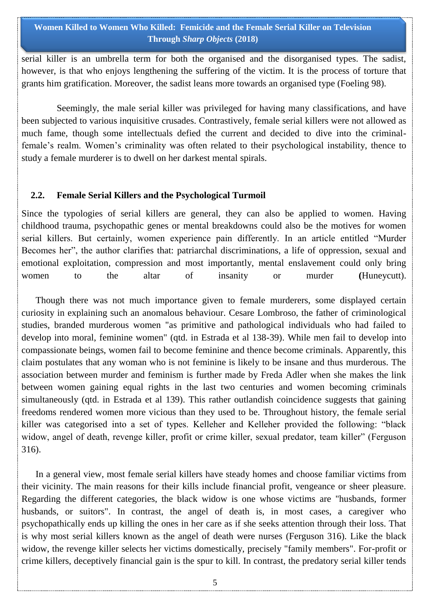serial killer is an umbrella term for both the organised and the disorganised types. The sadist, however, is that who enjoys lengthening the suffering of the victim. It is the process of torture that grants him gratification. Moreover, the sadist leans more towards an organised type (Foeling 98).

 Seemingly, the male serial killer was privileged for having many classifications, and have been subjected to various inquisitive crusades. Contrastively, female serial killers were not allowed as much fame, though some intellectuals defied the current and decided to dive into the criminalfemale"s realm. Women"s criminality was often related to their psychological instability, thence to study a female murderer is to dwell on her darkest mental spirals.

### **2.2. Female Serial Killers and the Psychological Turmoil**

Since the typologies of serial killers are general, they can also be applied to women. Having childhood trauma, psychopathic genes or mental breakdowns could also be the motives for women serial killers. But certainly, women experience pain differently. In an article entitled "Murder Becomes her", the author clarifies that: patriarchal discriminations, a life of oppression, sexual and emotional exploitation, compression and most importantly, mental enslavement could only bring women to the altar of insanity or murder **(**Huneycutt).

 Though there was not much importance given to female murderers, some displayed certain curiosity in explaining such an anomalous behaviour. Cesare Lombroso, the father of criminological studies, branded murderous women "as primitive and pathological individuals who had failed to develop into moral, feminine women" (qtd. in Estrada et al 138-39). While men fail to develop into compassionate beings, women fail to become feminine and thence become criminals. Apparently, this claim postulates that any woman who is not feminine is likely to be insane and thus murderous. The association between murder and feminism is further made by Freda Adler when she makes the link between women gaining equal rights in the last two centuries and women becoming criminals simultaneously (qtd. in Estrada et al 139). This rather outlandish coincidence suggests that gaining freedoms rendered women more vicious than they used to be. Throughout history, the female serial killer was categorised into a set of types. Kelleher and Kelleher provided the following: "black widow, angel of death, revenge killer, profit or crime killer, sexual predator, team killer" (Ferguson 316).

 In a general view, most female serial killers have steady homes and choose familiar victims from their vicinity. The main reasons for their kills include financial profit, vengeance or sheer pleasure. Regarding the different categories, the black widow is one whose victims are "husbands, former husbands, or suitors". In contrast, the angel of death is, in most cases, a caregiver who psychopathically ends up killing the ones in her care as if she seeks attention through their loss. That is why most serial killers known as the angel of death were nurses (Ferguson 316). Like the black widow, the revenge killer selects her victims domestically, precisely "family members". For-profit or crime killers, deceptively financial gain is the spur to kill. In contrast, the predatory serial killer tends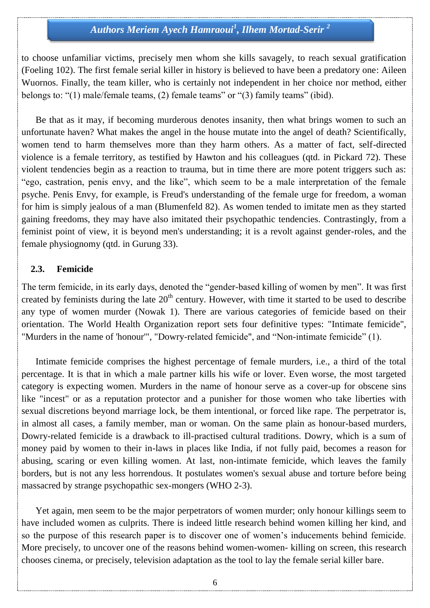to choose unfamiliar victims, precisely men whom she kills savagely, to reach sexual gratification (Foeling 102). The first female serial killer in history is believed to have been a predatory one: Aileen Wuornos. Finally, the team killer, who is certainly not independent in her choice nor method, either belongs to: "(1) male/female teams, (2) female teams" or "(3) family teams" (ibid).

 Be that as it may, if becoming murderous denotes insanity, then what brings women to such an unfortunate haven? What makes the angel in the house mutate into the angel of death? Scientifically, women tend to harm themselves more than they harm others. As a matter of fact, self-directed violence is a female territory, as testified by Hawton and his colleagues (qtd. in Pickard 72). These violent tendencies begin as a reaction to trauma, but in time there are more potent triggers such as: "ego, castration, penis envy, and the like", which seem to be a male interpretation of the female psyche. Penis Envy, for example, is Freud's understanding of the female urge for freedom, a woman for him is simply jealous of a man (Blumenfeld 82). As women tended to imitate men as they started gaining freedoms, they may have also imitated their psychopathic tendencies. Contrastingly, from a feminist point of view, it is beyond men's understanding; it is a revolt against gender-roles, and the female physiognomy (qtd. in Gurung 33).

#### **2.3. Femicide**

The term femicide, in its early days, denoted the "gender-based killing of women by men". It was first created by feminists during the late 20<sup>th</sup> century. However, with time it started to be used to describe any type of women murder (Nowak 1). There are various categories of femicide based on their orientation. The World Health Organization report sets four definitive types: "Intimate femicide", "Murders in the name of 'honour'", "Dowry-related femicide", and "Non-intimate femicide" (1).

 Intimate femicide comprises the highest percentage of female murders, i.e., a third of the total percentage. It is that in which a male partner kills his wife or lover. Even worse, the most targeted category is expecting women. Murders in the name of honour serve as a cover-up for obscene sins like "incest" or as a reputation protector and a punisher for those women who take liberties with sexual discretions beyond marriage lock, be them intentional, or forced like rape. The perpetrator is, in almost all cases, a family member, man or woman. On the same plain as honour-based murders, Dowry-related femicide is a drawback to ill-practised cultural traditions. Dowry, which is a sum of money paid by women to their in-laws in places like India, if not fully paid, becomes a reason for abusing, scaring or even killing women. At last, non-intimate femicide, which leaves the family borders, but is not any less horrendous. It postulates women's sexual abuse and torture before being massacred by strange psychopathic sex-mongers (WHO 2-3).

 Yet again, men seem to be the major perpetrators of women murder; only honour killings seem to have included women as culprits. There is indeed little research behind women killing her kind, and so the purpose of this research paper is to discover one of women"s inducements behind femicide. More precisely, to uncover one of the reasons behind women-women- killing on screen, this research chooses cinema, or precisely, television adaptation as the tool to lay the female serial killer bare.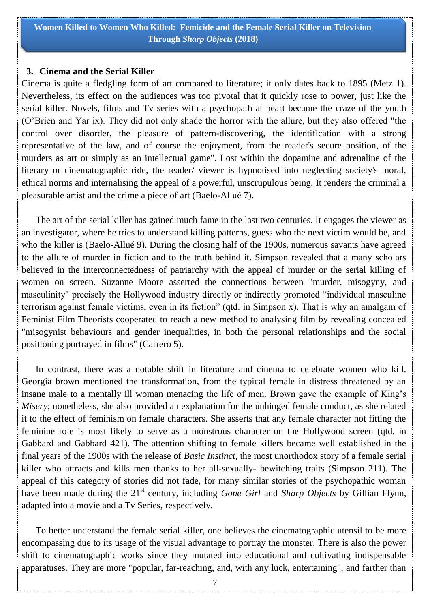#### **3. Cinema and the Serial Killer**

Cinema is quite a fledgling form of art compared to literature; it only dates back to 1895 (Metz 1). Nevertheless, its effect on the audiences was too pivotal that it quickly rose to power, just like the serial killer. Novels, films and Tv series with a psychopath at heart became the craze of the youth (O"Brien and Yar ix). They did not only shade the horror with the allure, but they also offered "the control over disorder, the pleasure of pattern-discovering, the identification with a strong representative of the law, and of course the enjoyment, from the reader's secure position, of the murders as art or simply as an intellectual game". Lost within the dopamine and adrenaline of the literary or cinematographic ride, the reader/ viewer is hypnotised into neglecting society's moral, ethical norms and internalising the appeal of a powerful, unscrupulous being. It renders the criminal a pleasurable artist and the crime a piece of art (Baelo-Allué 7).

 The art of the serial killer has gained much fame in the last two centuries. It engages the viewer as an investigator, where he tries to understand killing patterns, guess who the next victim would be, and who the killer is (Baelo-Allué 9). During the closing half of the 1900s, numerous savants have agreed to the allure of murder in fiction and to the truth behind it. Simpson revealed that a many scholars believed in the interconnectedness of patriarchy with the appeal of murder or the serial killing of women on screen. Suzanne Moore asserted the connections between "murder, misogyny, and masculinity" precisely the Hollywood industry directly or indirectly promoted "individual masculine terrorism against female victims, even in its fiction" (qtd. in Simpson x). That is why an amalgam of Feminist Film Theorists cooperated to reach a new method to analysing film by revealing concealed "misogynist behaviours and gender inequalities, in both the personal relationships and the social positioning portrayed in films" (Carrero 5).

 In contrast, there was a notable shift in literature and cinema to celebrate women who kill. Georgia brown mentioned the transformation, from the typical female in distress threatened by an insane male to a mentally ill woman menacing the life of men. Brown gave the example of King"s *Misery*; nonetheless, she also provided an explanation for the unhinged female conduct, as she related it to the effect of feminism on female characters. She asserts that any female character not fitting the feminine role is most likely to serve as a monstrous character on the Hollywood screen (qtd. in Gabbard and Gabbard 421). The attention shifting to female killers became well established in the final years of the 1900s with the release of *Basic Instinct,* the most unorthodox story of a female serial killer who attracts and kills men thanks to her all-sexually- bewitching traits (Simpson 211). The appeal of this category of stories did not fade, for many similar stories of the psychopathic woman have been made during the 21<sup>st</sup> century, including *Gone Girl* and *Sharp Objects* by Gillian Flynn, adapted into a movie and a Tv Series, respectively.

 To better understand the female serial killer, one believes the cinematographic utensil to be more encompassing due to its usage of the visual advantage to portray the monster. There is also the power shift to cinematographic works since they mutated into educational and cultivating indispensable apparatuses. They are more "popular, far-reaching, and, with any luck, entertaining", and farther than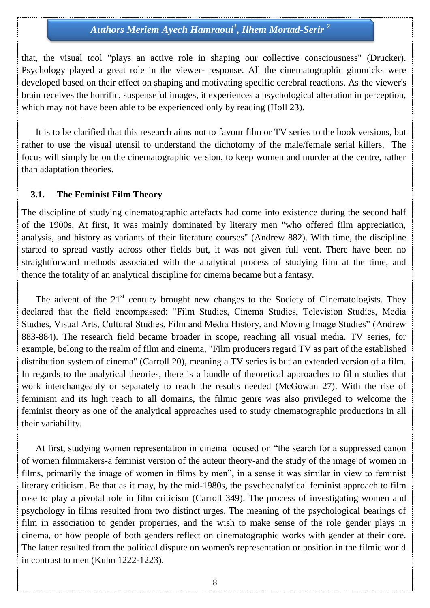that, the visual tool "plays an active role in shaping our collective consciousness" (Drucker). Psychology played a great role in the viewer- response. All the cinematographic gimmicks were developed based on their effect on shaping and motivating specific cerebral reactions. As the viewer's brain receives the horrific, suspenseful images, it experiences a psychological alteration in perception, which may not have been able to be experienced only by reading (Holl 23).

 It is to be clarified that this research aims not to favour film or TV series to the book versions, but rather to use the visual utensil to understand the dichotomy of the male/female serial killers. The focus will simply be on the cinematographic version, to keep women and murder at the centre, rather than adaptation theories.

#### **3.1. The Feminist Film Theory**

The discipline of studying cinematographic artefacts had come into existence during the second half of the 1900s. At first, it was mainly dominated by literary men "who offered film appreciation, analysis, and history as variants of their literature courses" (Andrew 882). With time, the discipline started to spread vastly across other fields but, it was not given full vent. There have been no straightforward methods associated with the analytical process of studying film at the time, and thence the totality of an analytical discipline for cinema became but a fantasy.

The advent of the  $21<sup>st</sup>$  century brought new changes to the Society of Cinematologists. They declared that the field encompassed: "Film Studies, Cinema Studies, Television Studies, Media Studies, Visual Arts, Cultural Studies, Film and Media History, and Moving Image Studies" (Andrew 883-884). The research field became broader in scope, reaching all visual media. TV series, for example, belong to the realm of film and cinema, "Film producers regard TV as part of the established distribution system of cinema" (Carroll 20), meaning a TV series is but an extended version of a film. In regards to the analytical theories, there is a bundle of theoretical approaches to film studies that work interchangeably or separately to reach the results needed (McGowan 27). With the rise of feminism and its high reach to all domains, the filmic genre was also privileged to welcome the feminist theory as one of the analytical approaches used to study cinematographic productions in all their variability.

 At first, studying women representation in cinema focused on "the search for a suppressed canon of women filmmakers-a feminist version of the auteur theory-and the study of the image of women in films, primarily the image of women in films by men", in a sense it was similar in view to feminist literary criticism. Be that as it may, by the mid-1980s, the psychoanalytical feminist approach to film rose to play a pivotal role in film criticism (Carroll 349). The process of investigating women and psychology in films resulted from two distinct urges. The meaning of the psychological bearings of film in association to gender properties, and the wish to make sense of the role gender plays in cinema, or how people of both genders reflect on cinematographic works with gender at their core. The latter resulted from the political dispute on women's representation or position in the filmic world in contrast to men (Kuhn 1222-1223).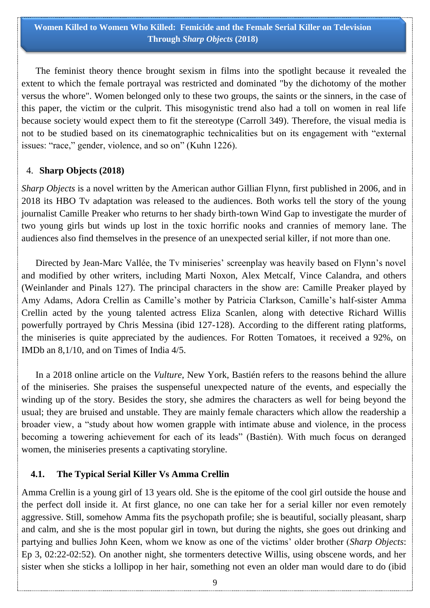The feminist theory thence brought sexism in films into the spotlight because it revealed the extent to which the female portrayal was restricted and dominated "by the dichotomy of the mother versus the whore". Women belonged only to these two groups, the saints or the sinners, in the case of this paper, the victim or the culprit. This misogynistic trend also had a toll on women in real life because society would expect them to fit the stereotype (Carroll 349). Therefore, the visual media is not to be studied based on its cinematographic technicalities but on its engagement with "external issues: "race," gender, violence, and so on" (Kuhn 1226).

### 4. **Sharp Objects (2018)**

*Sharp Objects* is a novel written by the American author Gillian Flynn, first published in 2006, and in 2018 its HBO Tv adaptation was released to the audiences. Both works tell the story of the young journalist Camille Preaker who returns to her shady birth-town Wind Gap to investigate the murder of two young girls but winds up lost in the toxic horrific nooks and crannies of memory lane. The audiences also find themselves in the presence of an unexpected serial killer, if not more than one.

Directed by Jean-Marc Vallée, the Tv miniseries' screenplay was heavily based on Flynn's novel and modified by other writers, including Marti Noxon, Alex Metcalf, Vince Calandra, and others (Weinlander and Pinals 127). The principal characters in the show are: Camille Preaker played by Amy Adams, Adora Crellin as Camille"s mother by Patricia Clarkson, Camille"s half-sister Amma Crellin acted by the young talented actress Eliza Scanlen, along with detective Richard Willis powerfully portrayed by Chris Messina (ibid 127-128). According to the different rating platforms, the miniseries is quite appreciated by the audiences. For Rotten Tomatoes, it received a 92%, on IMDb an 8,1/10, and on Times of India 4/5.

 In a 2018 online article on the *Vulture*, New York, Bastién refers to the reasons behind the allure of the miniseries. She praises the suspenseful unexpected nature of the events, and especially the winding up of the story. Besides the story, she admires the characters as well for being beyond the usual; they are bruised and unstable. They are mainly female characters which allow the readership a broader view, a "study about how women grapple with intimate abuse and violence, in the process becoming a towering achievement for each of its leads" (Bastién). With much focus on deranged women, the miniseries presents a captivating storyline.

### **4.1. The Typical Serial Killer Vs Amma Crellin**

Amma Crellin is a young girl of 13 years old. She is the epitome of the cool girl outside the house and the perfect doll inside it. At first glance, no one can take her for a serial killer nor even remotely aggressive. Still, somehow Amma fits the psychopath profile; she is beautiful, socially pleasant, sharp and calm, and she is the most popular girl in town, but during the nights, she goes out drinking and partying and bullies John Keen, whom we know as one of the victims" older brother (*Sharp Objects*: Ep 3, 02:22-02:52). On another night, she tormenters detective Willis, using obscene words, and her sister when she sticks a lollipop in her hair, something not even an older man would dare to do (ibid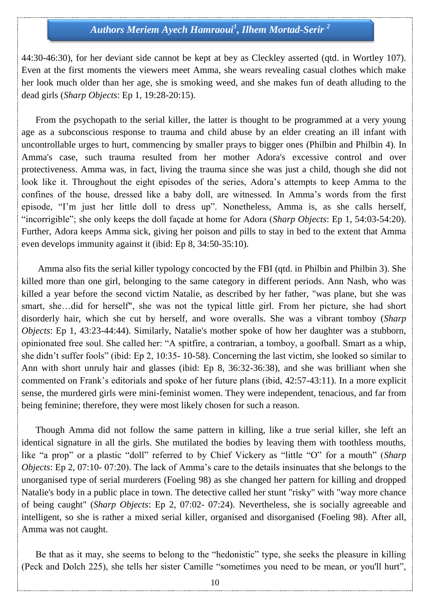44:30-46:30), for her deviant side cannot be kept at bey as Cleckley asserted (qtd. in Wortley 107). Even at the first moments the viewers meet Amma, she wears revealing casual clothes which make her look much older than her age, she is smoking weed, and she makes fun of death alluding to the dead girls (*Sharp Objects*: Ep 1, 19:28-20:15).

 From the psychopath to the serial killer, the latter is thought to be programmed at a very young age as a subconscious response to trauma and child abuse by an elder creating an ill infant with uncontrollable urges to hurt, commencing by smaller prays to bigger ones (Philbin and Philbin 4). In Amma's case, such trauma resulted from her mother Adora's excessive control and over protectiveness. Amma was, in fact, living the trauma since she was just a child, though she did not look like it. Throughout the eight episodes of the series, Adora's attempts to keep Amma to the confines of the house, dressed like a baby doll, are witnessed. In Amma"s words from the first episode, "I"m just her little doll to dress up". Nonetheless, Amma is, as she calls herself, "incorrigible"; she only keeps the doll façade at home for Adora (*Sharp Objects*: Ep 1, 54:03-54:20). Further, Adora keeps Amma sick, giving her poison and pills to stay in bed to the extent that Amma even develops immunity against it (ibid: Ep 8, 34:50-35:10).

 Amma also fits the serial killer typology concocted by the FBI (qtd. in Philbin and Philbin 3). She killed more than one girl, belonging to the same category in different periods. Ann Nash, who was killed a year before the second victim Natalie, as described by her father, "was plane, but she was smart, she…did for herself", she was not the typical little girl. From her picture, she had short disorderly hair, which she cut by herself, and wore overalls. She was a vibrant tomboy (*Sharp Objects*: Ep 1, 43:23-44:44). Similarly, Natalie's mother spoke of how her daughter was a stubborn, opinionated free soul. She called her: "A spitfire, a contrarian, a tomboy, a goofball. Smart as a whip, she didn"t suffer fools" (ibid: Ep 2, 10:35- 10-58). Concerning the last victim, she looked so similar to Ann with short unruly hair and glasses (ibid: Ep 8, 36:32-36:38), and she was brilliant when she commented on Frank"s editorials and spoke of her future plans (ibid, 42:57-43:11). In a more explicit sense, the murdered girls were mini-feminist women. They were independent, tenacious, and far from being feminine; therefore, they were most likely chosen for such a reason.

 Though Amma did not follow the same pattern in killing, like a true serial killer, she left an identical signature in all the girls. She mutilated the bodies by leaving them with toothless mouths, like "a prop" or a plastic "doll" referred to by Chief Vickery as "little "O" for a mouth" (*Sharp Objects*: Ep 2, 07:10- 07:20). The lack of Amma's care to the details insinuates that she belongs to the unorganised type of serial murderers (Foeling 98) as she changed her pattern for killing and dropped Natalie's body in a public place in town. The detective called her stunt "risky" with "way more chance of being caught" (*Sharp Objects*: Ep 2, 07:02- 07:24). Nevertheless, she is socially agreeable and intelligent, so she is rather a mixed serial killer, organised and disorganised (Foeling 98). After all, Amma was not caught.

 Be that as it may, she seems to belong to the "hedonistic" type, she seeks the pleasure in killing (Peck and Dolch 225), she tells her sister Camille "sometimes you need to be mean, or you'll hurt",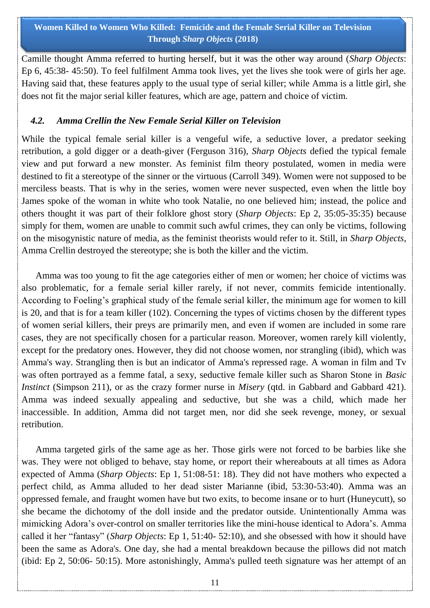Camille thought Amma referred to hurting herself, but it was the other way around (*Sharp Objects*: Ep 6, 45:38- 45:50). To feel fulfilment Amma took lives, yet the lives she took were of girls her age. Having said that, these features apply to the usual type of serial killer; while Amma is a little girl, she does not fit the major serial killer features, which are age, pattern and choice of victim.

### *4.2. Amma Crellin the New Female Serial Killer on Television*

While the typical female serial killer is a vengeful wife, a seductive lover, a predator seeking retribution, a gold digger or a death-giver (Ferguson 316), *Sharp Objects* defied the typical female view and put forward a new monster. As feminist film theory postulated, women in media were destined to fit a stereotype of the sinner or the virtuous (Carroll 349). Women were not supposed to be merciless beasts. That is why in the series, women were never suspected, even when the little boy James spoke of the woman in white who took Natalie, no one believed him; instead, the police and others thought it was part of their folklore ghost story (*Sharp Objects*: Ep 2, 35:05-35:35) because simply for them, women are unable to commit such awful crimes, they can only be victims, following on the misogynistic nature of media, as the feminist theorists would refer to it. Still, in *Sharp Objects*, Amma Crellin destroyed the stereotype; she is both the killer and the victim.

 Amma was too young to fit the age categories either of men or women; her choice of victims was also problematic, for a female serial killer rarely, if not never, commits femicide intentionally. According to Foeling's graphical study of the female serial killer, the minimum age for women to kill is 20, and that is for a team killer (102). Concerning the types of victims chosen by the different types of women serial killers, their preys are primarily men, and even if women are included in some rare cases, they are not specifically chosen for a particular reason. Moreover, women rarely kill violently, except for the predatory ones. However, they did not choose women, nor strangling (ibid), which was Amma's way. Strangling then is but an indicator of Amma's repressed rage. A woman in film and Tv was often portrayed as a femme fatal, a sexy, seductive female killer such as Sharon Stone in *Basic Instinct* (Simpson 211), or as the crazy former nurse in *Misery* (qtd. in Gabbard and Gabbard 421). Amma was indeed sexually appealing and seductive, but she was a child, which made her inaccessible. In addition, Amma did not target men, nor did she seek revenge, money, or sexual retribution.

 Amma targeted girls of the same age as her. Those girls were not forced to be barbies like she was. They were not obliged to behave, stay home, or report their whereabouts at all times as Adora expected of Amma (*Sharp Objects*: Ep 1, 51:08-51: 18). They did not have mothers who expected a perfect child, as Amma alluded to her dead sister Marianne (ibid, 53:30-53:40). Amma was an oppressed female, and fraught women have but two exits, to become insane or to hurt (Huneycutt), so she became the dichotomy of the doll inside and the predator outside. Unintentionally Amma was mimicking Adora"s over-control on smaller territories like the mini-house identical to Adora"s. Amma called it her "fantasy" (*Sharp Objects*: Ep 1, 51:40- 52:10), and she obsessed with how it should have been the same as Adora's. One day, she had a mental breakdown because the pillows did not match (ibid: Ep 2, 50:06- 50:15). More astonishingly, Amma's pulled teeth signature was her attempt of an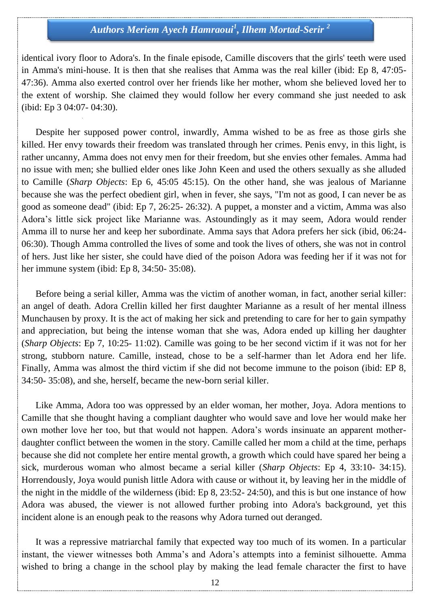identical ivory floor to Adora's. In the finale episode, Camille discovers that the girls' teeth were used in Amma's mini-house. It is then that she realises that Amma was the real killer (ibid: Ep 8, 47:05- 47:36). Amma also exerted control over her friends like her mother, whom she believed loved her to the extent of worship. She claimed they would follow her every command she just needed to ask (ibid: Ep 3 04:07- 04:30).

 Despite her supposed power control, inwardly, Amma wished to be as free as those girls she killed. Her envy towards their freedom was translated through her crimes. Penis envy, in this light, is rather uncanny, Amma does not envy men for their freedom, but she envies other females. Amma had no issue with men; she bullied elder ones like John Keen and used the others sexually as she alluded to Camille (*Sharp Objects*: Ep 6, 45:05 45:15). On the other hand, she was jealous of Marianne because she was the perfect obedient girl, when in fever, she says, "I'm not as good, I can never be as good as someone dead" (ibid: Ep 7, 26:25- 26:32). A puppet, a monster and a victim, Amma was also Adora"s little sick project like Marianne was. Astoundingly as it may seem, Adora would render Amma ill to nurse her and keep her subordinate. Amma says that Adora prefers her sick (ibid, 06:24- 06:30). Though Amma controlled the lives of some and took the lives of others, she was not in control of hers. Just like her sister, she could have died of the poison Adora was feeding her if it was not for her immune system (ibid: Ep 8, 34:50- 35:08).

 Before being a serial killer, Amma was the victim of another woman, in fact, another serial killer: an angel of death. Adora Crellin killed her first daughter Marianne as a result of her mental illness Munchausen by proxy. It is the act of making her sick and pretending to care for her to gain sympathy and appreciation, but being the intense woman that she was, Adora ended up killing her daughter (*Sharp Objects*: Ep 7, 10:25- 11:02). Camille was going to be her second victim if it was not for her strong, stubborn nature. Camille, instead, chose to be a self-harmer than let Adora end her life. Finally, Amma was almost the third victim if she did not become immune to the poison (ibid: EP 8, 34:50- 35:08), and she, herself, became the new-born serial killer.

 Like Amma, Adora too was oppressed by an elder woman, her mother, Joya. Adora mentions to Camille that she thought having a compliant daughter who would save and love her would make her own mother love her too, but that would not happen. Adora"s words insinuate an apparent motherdaughter conflict between the women in the story. Camille called her mom a child at the time, perhaps because she did not complete her entire mental growth, a growth which could have spared her being a sick, murderous woman who almost became a serial killer (*Sharp Objects*: Ep 4, 33:10- 34:15). Horrendously, Joya would punish little Adora with cause or without it, by leaving her in the middle of the night in the middle of the wilderness (ibid: Ep 8, 23:52- 24:50), and this is but one instance of how Adora was abused, the viewer is not allowed further probing into Adora's background, yet this incident alone is an enough peak to the reasons why Adora turned out deranged.

 It was a repressive matriarchal family that expected way too much of its women. In a particular instant, the viewer witnesses both Amma's and Adora's attempts into a feminist silhouette. Amma wished to bring a change in the school play by making the lead female character the first to have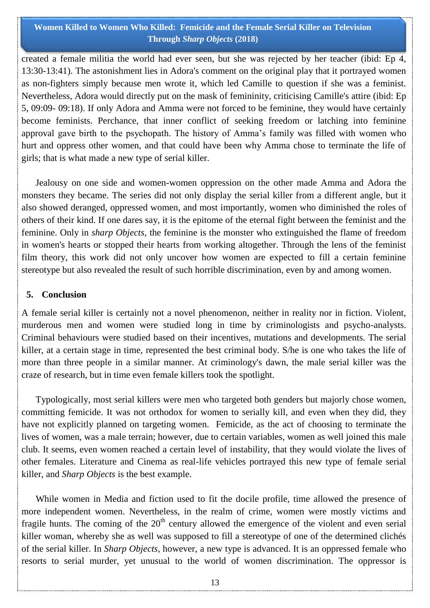created a female militia the world had ever seen, but she was rejected by her teacher (ibid: Ep 4, 13:30-13:41). The astonishment lies in Adora's comment on the original play that it portrayed women as non-fighters simply because men wrote it, which led Camille to question if she was a feminist. Nevertheless, Adora would directly put on the mask of femininity, criticising Camille's attire (ibid: Ep 5, 09:09- 09:18). If only Adora and Amma were not forced to be feminine, they would have certainly become feminists. Perchance, that inner conflict of seeking freedom or latching into feminine approval gave birth to the psychopath. The history of Amma"s family was filled with women who hurt and oppress other women, and that could have been why Amma chose to terminate the life of girls; that is what made a new type of serial killer.

 Jealousy on one side and women-women oppression on the other made Amma and Adora the monsters they became. The series did not only display the serial killer from a different angle, but it also showed deranged, oppressed women, and most importantly, women who diminished the roles of others of their kind. If one dares say, it is the epitome of the eternal fight between the feminist and the feminine. Only in *sharp Objects*, the feminine is the monster who extinguished the flame of freedom in women's hearts or stopped their hearts from working altogether. Through the lens of the feminist film theory, this work did not only uncover how women are expected to fill a certain feminine stereotype but also revealed the result of such horrible discrimination, even by and among women.

#### **5. Conclusion**

A female serial killer is certainly not a novel phenomenon, neither in reality nor in fiction. Violent, murderous men and women were studied long in time by criminologists and psycho-analysts. Criminal behaviours were studied based on their incentives, mutations and developments. The serial killer, at a certain stage in time, represented the best criminal body. S/he is one who takes the life of more than three people in a similar manner. At criminology's dawn, the male serial killer was the craze of research, but in time even female killers took the spotlight.

 Typologically, most serial killers were men who targeted both genders but majorly chose women, committing femicide. It was not orthodox for women to serially kill, and even when they did, they have not explicitly planned on targeting women. Femicide, as the act of choosing to terminate the lives of women, was a male terrain; however, due to certain variables, women as well joined this male club. It seems, even women reached a certain level of instability, that they would violate the lives of other females. Literature and Cinema as real-life vehicles portrayed this new type of female serial killer, and *Sharp Objects* is the best example.

 While women in Media and fiction used to fit the docile profile, time allowed the presence of more independent women. Nevertheless, in the realm of crime, women were mostly victims and fragile hunts. The coming of the  $20<sup>th</sup>$  century allowed the emergence of the violent and even serial killer woman, whereby she as well was supposed to fill a stereotype of one of the determined clichés of the serial killer. In *Sharp Objects*, however, a new type is advanced. It is an oppressed female who resorts to serial murder, yet unusual to the world of women discrimination. The oppressor is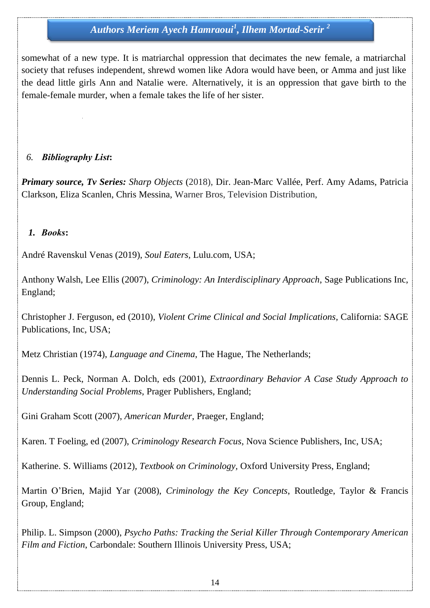somewhat of a new type. It is matriarchal oppression that decimates the new female, a matriarchal society that refuses independent, shrewd women like Adora would have been, or Amma and just like the dead little girls Ann and Natalie were. Alternatively, it is an oppression that gave birth to the female-female murder, when a female takes the life of her sister.

### *6. Bibliography List***:**

*Primary source, Tv Series: Sharp Objects* (2018), Dir. Jean-Marc Vallée, Perf. Amy Adams, Patricia Clarkson, Eliza Scanlen, Chris Messina, Warner Bros, Television Distribution,

### *1. Books***:**

André Ravenskul Venas (2019), *Soul Eaters,* Lulu.com, USA;

Anthony Walsh, Lee Ellis (2007), *Criminology: An Interdisciplinary Approach*, Sage Publications Inc, England;

Christopher J. Ferguson, ed (2010), *Violent Crime Clinical and Social Implications,* California: SAGE Publications, Inc, USA;

Metz Christian (1974), *Language and Cinema*, The Hague, The Netherlands;

Dennis L. Peck, Norman A. Dolch, eds (2001), *Extraordinary Behavior A Case Study Approach to Understanding Social Problems*, Prager Publishers*,* England;

Gini Graham Scott (2007), *American Murder*, Praeger, England;

Karen. T Foeling, ed (2007), *Criminology Research Focus*, Nova Science Publishers, Inc, USA;

Katherine. S. Williams (2012), *Textbook on Criminology,* Oxford University Press, England;

Martin O"Brien, Majid Yar (2008), *Criminology the Key Concepts*, Routledge, Taylor & Francis Group, England;

Philip. L. Simpson (2000), *Psycho Paths: Tracking the Serial Killer Through Contemporary American Film and Fiction*, Carbondale: Southern Illinois University Press, USA;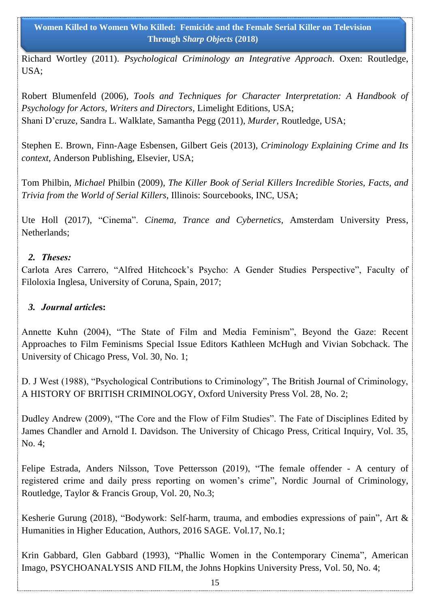Richard Wortley (2011). *Psychological Criminology an Integrative Approach*. Oxen: Routledge, USA;

Robert Blumenfeld (2006), *Tools and Techniques for Character Interpretation: A Handbook of Psychology for Actors, Writers and Directors,* Limelight Editions, USA; Shani D"cruze, Sandra L. Walklate, Samantha Pegg (2011), *Murder*, Routledge, USA;

Stephen E. Brown, Finn-Aage Esbensen, Gilbert Geis (2013), *Criminology Explaining Crime and Its context,* Anderson Publishing, Elsevier, USA;

Tom Philbin, *Michael* Philbin (2009)*, The Killer Book of Serial Killers Incredible Stories, Facts, and Trivia from the World of Serial Killers*, Illinois: Sourcebooks, INC, USA;

Ute Holl (2017), "Cinema". *Cinema, Trance and Cybernetics,* Amsterdam University Press, Netherlands;

### *2. Theses:*

Carlota Ares Carrero, "Alfred Hitchcock"s Psycho: A Gender Studies Perspective", Faculty of Filoloxia Inglesa, University of Coruna, Spain, 2017;

### *3. Journal article***s:**

Annette Kuhn (2004), "The State of Film and Media Feminism", Beyond the Gaze: Recent Approaches to Film Feminisms Special Issue Editors Kathleen McHugh and Vivian Sobchack. The University of Chicago Press, Vol. 30, No. 1;

D. J West (1988), "Psychological Contributions to Criminology", The British Journal of Criminology, A HISTORY OF BRITISH CRIMINOLOGY, Oxford University Press Vol. 28, No. 2;

Dudley Andrew (2009), "The Core and the Flow of Film Studies". The Fate of Disciplines Edited by James Chandler and Arnold I. Davidson. The University of Chicago Press, Critical Inquiry, Vol. 35, No. 4;

Felipe Estrada, Anders Nilsson, Tove Pettersson (2019), "The female offender - A century of registered crime and daily press reporting on women"s crime", Nordic Journal of Criminology, Routledge, Taylor & Francis Group, Vol. 20, No.3;

Kesherie Gurung (2018), "Bodywork: Self-harm, trauma, and embodies expressions of pain", Art & Humanities in Higher Education, Authors, 2016 SAGE. Vol.17, No.1;

Krin Gabbard, Glen Gabbard (1993), "Phallic Women in the Contemporary Cinema", American Imago, PSYCHOANALYSIS AND FILM, the Johns Hopkins University Press, Vol. 50, No. 4;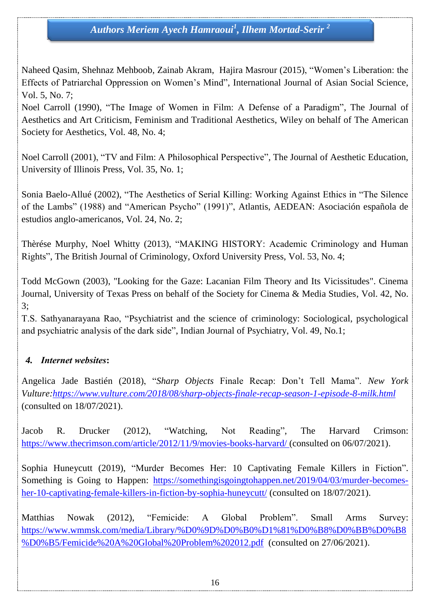Naheed Qasim, Shehnaz Mehboob, Zainab Akram, Hajira Masrour (2015), "Women"s Liberation: the Effects of Patriarchal Oppression on Women"s Mind", International Journal of Asian Social Science, Vol. 5, No. 7;

Noel Carroll (1990), "The Image of Women in Film: A Defense of a Paradigm", The Journal of Aesthetics and Art Criticism, Feminism and Traditional Aesthetics, Wiley on behalf of The American Society for Aesthetics, Vol. 48, No. 4;

Noel Carroll (2001), "TV and Film: A Philosophical Perspective", The Journal of Aesthetic Education, University of Illinois Press, Vol. 35, No. 1;

Sonia Baelo-Allué (2002), "The Aesthetics of Serial Killing: Working Against Ethics in "The Silence of the Lambs" (1988) and "American Psycho" (1991)", Atlantis, AEDEAN: Asociación española de estudios anglo-americanos, Vol. 24, No. 2;

Thèrése Murphy, Noel Whitty (2013), "MAKING HISTORY: Academic Criminology and Human Rights", The British Journal of Criminology, Oxford University Press, Vol. 53, No. 4;

Todd McGown (2003), "Looking for the Gaze: Lacanian Film Theory and Its Vicissitudes". Cinema Journal, University of Texas Press on behalf of the Society for Cinema & Media Studies, Vol. 42, No. 3;

T.S. Sathyanarayana Rao, "Psychiatrist and the science of criminology: Sociological, psychological and psychiatric analysis of the dark side", Indian Journal of Psychiatry, Vol. 49, No.1;

## *4. Internet websites***:**

Angelica Jade Bastién (2018), "*Sharp Objects* Finale Recap: Don"t Tell Mama". *New York Vulture[:https://www.vulture.com/2018/08/sharp-objects-finale-recap-season-1-episode-8-milk.html](https://www.vulture.com/2018/08/sharp-objects-finale-recap-season-1-episode-8-milk.html)* (consulted on 18/07/2021).

Jacob R. Drucker (2012), "Watching, Not Reading", The Harvard Crimson: <https://www.thecrimson.com/article/2012/11/9/movies-books-harvard/> (consulted on 06/07/2021).

Sophia Huneycutt (2019), "Murder Becomes Her: 10 [Captivating](https://somethingisgoingtohappen.net/2019/04/03/murder-becomes-her-10-captivating-female-killers-in-fiction-by-sophia-huneycutt/) Female Killers in Fiction". Something is Going to Happen: [https://somethingisgoingtohappen.net/2019/04/03/murder-becomes](https://somethingisgoingtohappen.net/2019/04/03/murder-becomes-her-10-captivating-female-killers-in-fiction-by-sophia-huneycutt/)[her-10-captivating-female-killers-in-fiction-by-sophia-huneycutt/](https://somethingisgoingtohappen.net/2019/04/03/murder-becomes-her-10-captivating-female-killers-in-fiction-by-sophia-huneycutt/) (consulted on 18/07/2021).

Matthias Nowak (2012), "Femicide: A Global Problem". Small Arms Survey: [https://www.wmmsk.com/media/Library/%D0%9D%D0%B0%D1%81%D0%B8%D0%BB%D0%B8](https://www.wmmsk.com/media/Library/%D0%9D%D0%B0%D1%81%D0%B8%D0%BB%D0%B8%D0%B5/Femicide%20A%20Global%20Problem%202012.pdf) [%D0%B5/Femicide%20A%20Global%20Problem%202012.pdf](https://www.wmmsk.com/media/Library/%D0%9D%D0%B0%D1%81%D0%B8%D0%BB%D0%B8%D0%B5/Femicide%20A%20Global%20Problem%202012.pdf) (consulted on 27/06/2021).